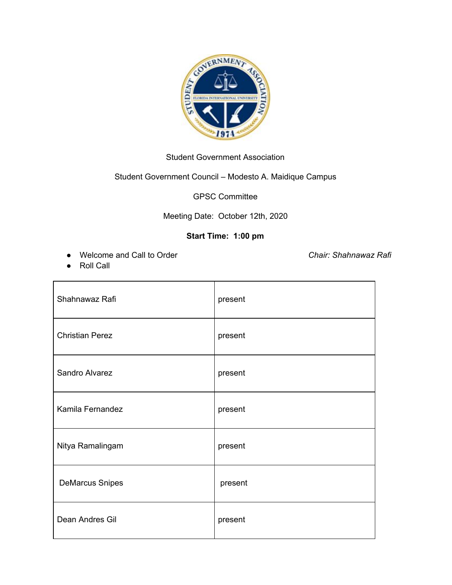

#### Student Government Association

# Student Government Council – Modesto A. Maidique Campus

GPSC Committee

#### Meeting Date: October 12th, 2020

## **Start Time: 1:00 pm**

● Welcome and Call to Order *Chair: Shahnawaz Rafi*

● Roll Call

| Shahnawaz Rafi         | present |
|------------------------|---------|
| <b>Christian Perez</b> | present |
| Sandro Alvarez         | present |
| Kamila Fernandez       | present |
| Nitya Ramalingam       | present |
| <b>DeMarcus Snipes</b> | present |
| Dean Andres Gil        | present |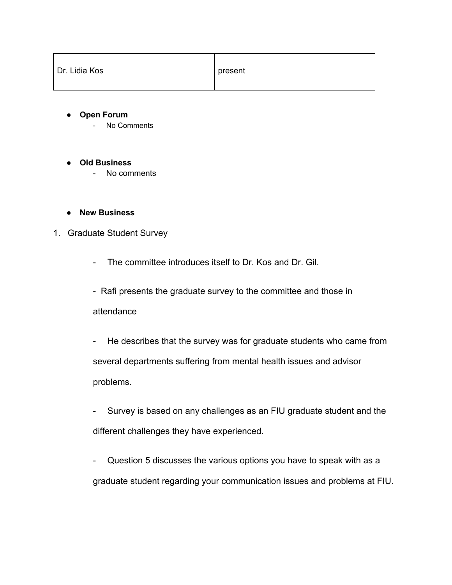| Dr. Lidia Kos | present |
|---------------|---------|
|---------------|---------|

- **● Open Forum**
	- No Comments
- **● Old Business**
	- No comments
- **● New Business**

### 1. Graduate Student Survey

- The committee introduces itself to Dr. Kos and Dr. Gil.
- Rafi presents the graduate survey to the committee and those in attendance
- He describes that the survey was for graduate students who came from several departments suffering from mental health issues and advisor problems.
- Survey is based on any challenges as an FIU graduate student and the different challenges they have experienced.
- Question 5 discusses the various options you have to speak with as a graduate student regarding your communication issues and problems at FIU.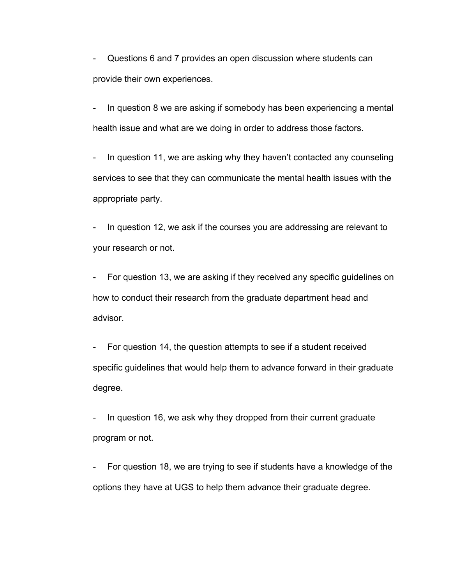- Questions 6 and 7 provides an open discussion where students can provide their own experiences.

In question 8 we are asking if somebody has been experiencing a mental health issue and what are we doing in order to address those factors.

- In question 11, we are asking why they haven't contacted any counseling services to see that they can communicate the mental health issues with the appropriate party.

In question 12, we ask if the courses you are addressing are relevant to your research or not.

- For question 13, we are asking if they received any specific guidelines on how to conduct their research from the graduate department head and advisor.

- For question 14, the question attempts to see if a student received specific guidelines that would help them to advance forward in their graduate degree.

- In question 16, we ask why they dropped from their current graduate program or not.

For question 18, we are trying to see if students have a knowledge of the options they have at UGS to help them advance their graduate degree.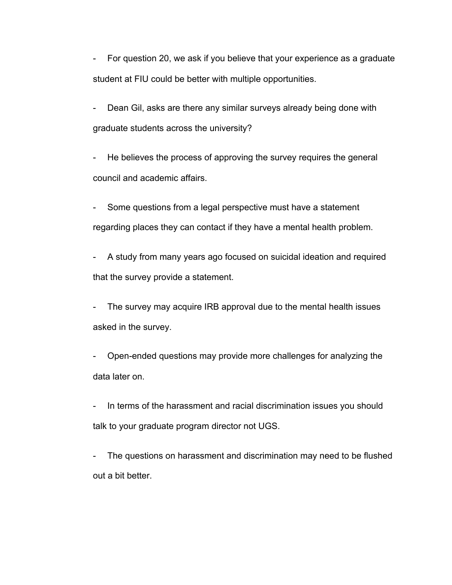- For question 20, we ask if you believe that your experience as a graduate student at FIU could be better with multiple opportunities.

- Dean Gil, asks are there any similar surveys already being done with graduate students across the university?

- He believes the process of approving the survey requires the general council and academic affairs.

- Some questions from a legal perspective must have a statement regarding places they can contact if they have a mental health problem.

- A study from many years ago focused on suicidal ideation and required that the survey provide a statement.

- The survey may acquire IRB approval due to the mental health issues asked in the survey.

- Open-ended questions may provide more challenges for analyzing the data later on.

In terms of the harassment and racial discrimination issues you should talk to your graduate program director not UGS.

- The questions on harassment and discrimination may need to be flushed out a bit better.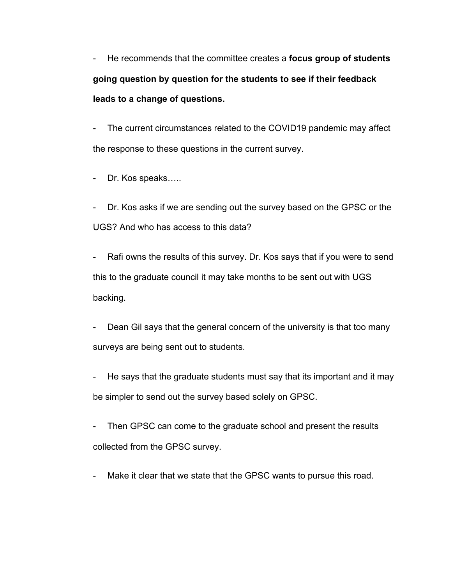- He recommends that the committee creates a **focus group of students going question by question for the students to see if their feedback leads to a change of questions.**

- The current circumstances related to the COVID19 pandemic may affect the response to these questions in the current survey.

- Dr. Kos speaks…..

- Dr. Kos asks if we are sending out the survey based on the GPSC or the UGS? And who has access to this data?

Rafi owns the results of this survey. Dr. Kos says that if you were to send this to the graduate council it may take months to be sent out with UGS backing.

Dean Gil says that the general concern of the university is that too many surveys are being sent out to students.

- He says that the graduate students must say that its important and it may be simpler to send out the survey based solely on GPSC.

- Then GPSC can come to the graduate school and present the results collected from the GPSC survey.

Make it clear that we state that the GPSC wants to pursue this road.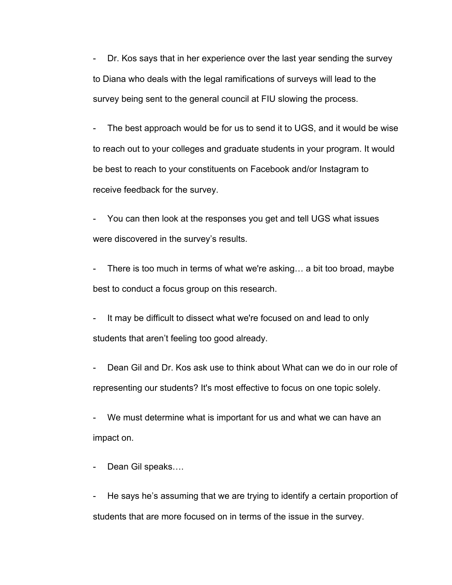- Dr. Kos says that in her experience over the last year sending the survey to Diana who deals with the legal ramifications of surveys will lead to the survey being sent to the general council at FIU slowing the process.

- The best approach would be for us to send it to UGS, and it would be wise to reach out to your colleges and graduate students in your program. It would be best to reach to your constituents on Facebook and/or Instagram to receive feedback for the survey.

You can then look at the responses you get and tell UGS what issues were discovered in the survey's results.

- There is too much in terms of what we're asking… a bit too broad, maybe best to conduct a focus group on this research.

It may be difficult to dissect what we're focused on and lead to only students that aren't feeling too good already.

Dean Gil and Dr. Kos ask use to think about What can we do in our role of representing our students? It's most effective to focus on one topic solely.

- We must determine what is important for us and what we can have an impact on.

Dean Gil speaks....

- He says he's assuming that we are trying to identify a certain proportion of students that are more focused on in terms of the issue in the survey.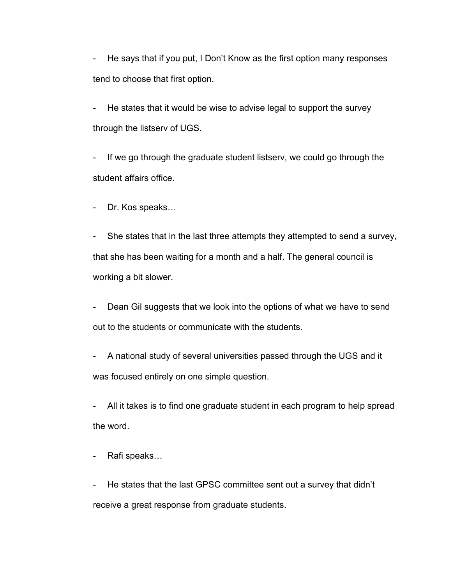- He says that if you put, I Don't Know as the first option many responses tend to choose that first option.

He states that it would be wise to advise legal to support the survey through the listserv of UGS.

- If we go through the graduate student listserv, we could go through the student affairs office.

- Dr. Kos speaks…

- She states that in the last three attempts they attempted to send a survey, that she has been waiting for a month and a half. The general council is working a bit slower.

- Dean Gil suggests that we look into the options of what we have to send out to the students or communicate with the students.

- A national study of several universities passed through the UGS and it was focused entirely on one simple question.

- All it takes is to find one graduate student in each program to help spread the word.

Rafi speaks...

He states that the last GPSC committee sent out a survey that didn't receive a great response from graduate students.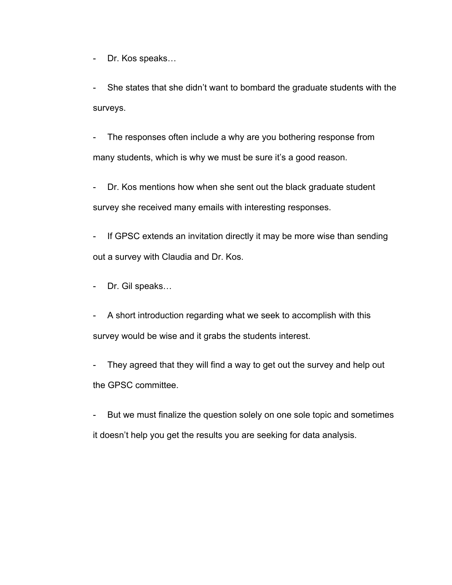- Dr. Kos speaks…

- She states that she didn't want to bombard the graduate students with the surveys.

- The responses often include a why are you bothering response from many students, which is why we must be sure it's a good reason.

Dr. Kos mentions how when she sent out the black graduate student survey she received many emails with interesting responses.

- If GPSC extends an invitation directly it may be more wise than sending out a survey with Claudia and Dr. Kos.

- Dr. Gil speaks…
- A short introduction regarding what we seek to accomplish with this survey would be wise and it grabs the students interest.

- They agreed that they will find a way to get out the survey and help out the GPSC committee.

- But we must finalize the question solely on one sole topic and sometimes it doesn't help you get the results you are seeking for data analysis.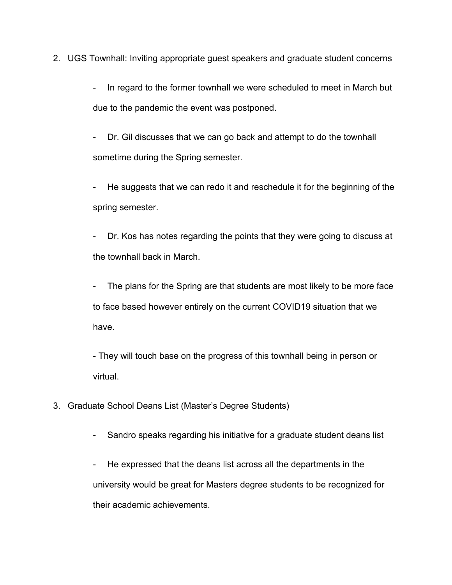2. UGS Townhall: Inviting appropriate guest speakers and graduate student concerns

- In regard to the former townhall we were scheduled to meet in March but due to the pandemic the event was postponed.

- Dr. Gil discusses that we can go back and attempt to do the townhall sometime during the Spring semester.

- He suggests that we can redo it and reschedule it for the beginning of the spring semester.

- Dr. Kos has notes regarding the points that they were going to discuss at the townhall back in March.

- The plans for the Spring are that students are most likely to be more face to face based however entirely on the current COVID19 situation that we have.

- They will touch base on the progress of this townhall being in person or virtual.

- 3. Graduate School Deans List (Master's Degree Students)
	- Sandro speaks regarding his initiative for a graduate student deans list

- He expressed that the deans list across all the departments in the university would be great for Masters degree students to be recognized for their academic achievements.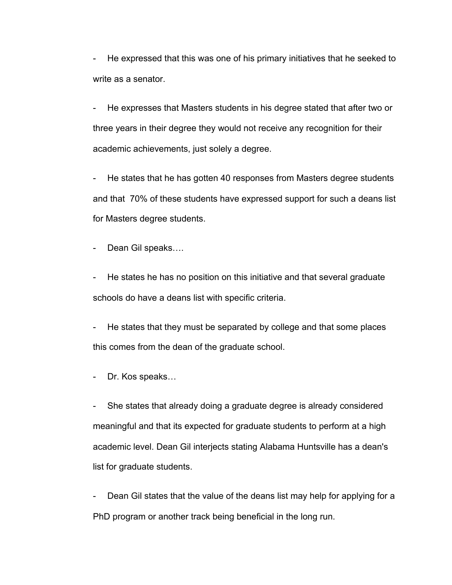- He expressed that this was one of his primary initiatives that he seeked to write as a senator.

He expresses that Masters students in his degree stated that after two or three years in their degree they would not receive any recognition for their academic achievements, just solely a degree.

He states that he has gotten 40 responses from Masters degree students and that 70% of these students have expressed support for such a deans list for Masters degree students.

Dean Gil speaks....

- He states he has no position on this initiative and that several graduate schools do have a deans list with specific criteria.

He states that they must be separated by college and that some places this comes from the dean of the graduate school.

Dr. Kos speaks...

- She states that already doing a graduate degree is already considered meaningful and that its expected for graduate students to perform at a high academic level. Dean Gil interjects stating Alabama Huntsville has a dean's list for graduate students.

Dean Gil states that the value of the deans list may help for applying for a PhD program or another track being beneficial in the long run.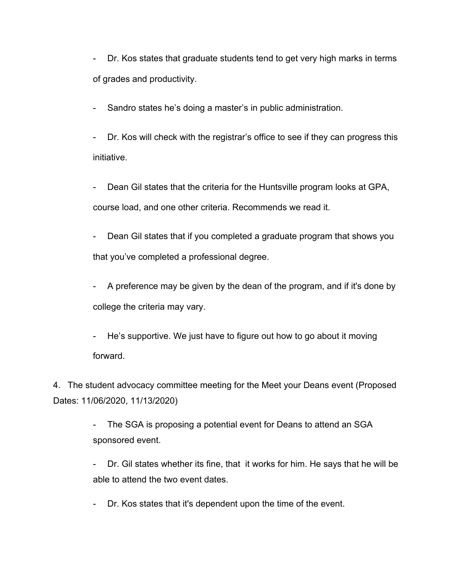- Dr. Kos states that graduate students tend to get very high marks in terms of grades and productivity.

Sandro states he's doing a master's in public administration.

- Dr. Kos will check with the registrar's office to see if they can progress this initiative.

Dean Gil states that the criteria for the Huntsville program looks at GPA, course load, and one other criteria. Recommends we read it.

- Dean Gil states that if you completed a graduate program that shows you that you've completed a professional degree.

- A preference may be given by the dean of the program, and if it's done by college the criteria may vary.

- He's supportive. We just have to figure out how to go about it moving forward.

4. The student advocacy committee meeting for the Meet your Deans event (Proposed Dates: 11/06/2020, 11/13/2020)

> - The SGA is proposing a potential event for Deans to attend an SGA sponsored event.

- Dr. Gil states whether its fine, that it works for him. He says that he will be able to attend the two event dates.

- Dr. Kos states that it's dependent upon the time of the event.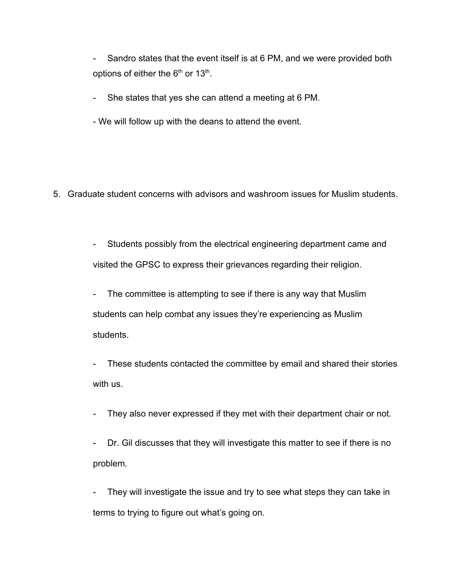- Sandro states that the event itself is at 6 PM, and we were provided both options of either the  $6<sup>th</sup>$  or 13<sup>th</sup>.

- She states that yes she can attend a meeting at 6 PM.

- We will follow up with the deans to attend the event.

5. Graduate student concerns with advisors and washroom issues for Muslim students.

- Students possibly from the electrical engineering department came and visited the GPSC to express their grievances regarding their religion.

- The committee is attempting to see if there is any way that Muslim students can help combat any issues they're experiencing as Muslim students.

- These students contacted the committee by email and shared their stories with us.

- They also never expressed if they met with their department chair or not.

- Dr. Gil discusses that they will investigate this matter to see if there is no problem.

They will investigate the issue and try to see what steps they can take in terms to trying to figure out what's going on.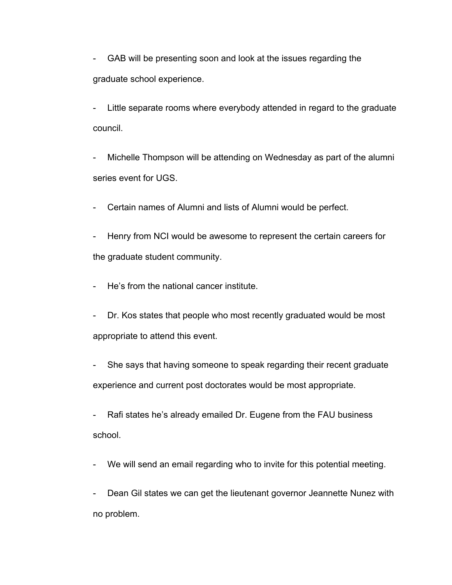- GAB will be presenting soon and look at the issues regarding the graduate school experience.

- Little separate rooms where everybody attended in regard to the graduate council.
- Michelle Thompson will be attending on Wednesday as part of the alumni series event for UGS.
- Certain names of Alumni and lists of Alumni would be perfect.
- Henry from NCI would be awesome to represent the certain careers for the graduate student community.
- He's from the national cancer institute.
- Dr. Kos states that people who most recently graduated would be most appropriate to attend this event.
- She says that having someone to speak regarding their recent graduate experience and current post doctorates would be most appropriate.
- Rafi states he's already emailed Dr. Eugene from the FAU business school.
- We will send an email regarding who to invite for this potential meeting.

- Dean Gil states we can get the lieutenant governor Jeannette Nunez with no problem.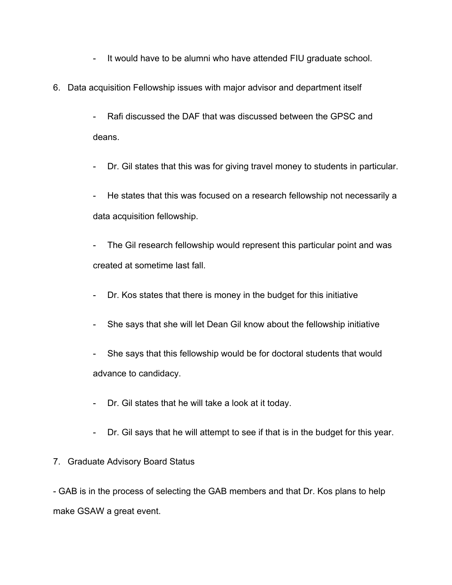- It would have to be alumni who have attended FIU graduate school.
- 6. Data acquisition Fellowship issues with major advisor and department itself
	- Rafi discussed the DAF that was discussed between the GPSC and deans.
	- Dr. Gil states that this was for giving travel money to students in particular.
	- He states that this was focused on a research fellowship not necessarily a data acquisition fellowship.
	- The Gil research fellowship would represent this particular point and was created at sometime last fall.
	- Dr. Kos states that there is money in the budget for this initiative
	- She says that she will let Dean Gil know about the fellowship initiative
	- She says that this fellowship would be for doctoral students that would advance to candidacy.
	- Dr. Gil states that he will take a look at it today.
	- Dr. Gil says that he will attempt to see if that is in the budget for this year.
- 7. Graduate Advisory Board Status

- GAB is in the process of selecting the GAB members and that Dr. Kos plans to help make GSAW a great event.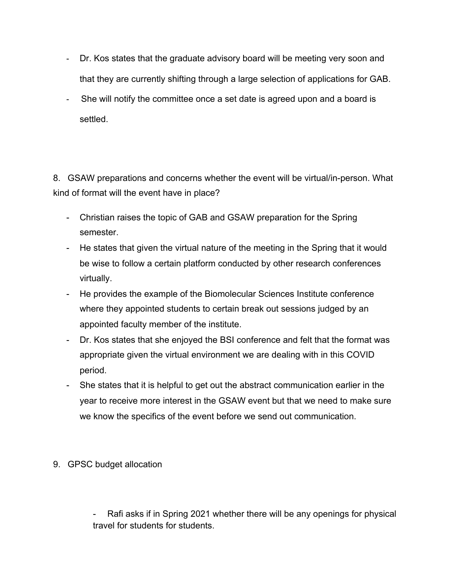- Dr. Kos states that the graduate advisory board will be meeting very soon and that they are currently shifting through a large selection of applications for GAB.
- She will notify the committee once a set date is agreed upon and a board is settled.

8. GSAW preparations and concerns whether the event will be virtual/in-person. What kind of format will the event have in place?

- Christian raises the topic of GAB and GSAW preparation for the Spring semester.
- He states that given the virtual nature of the meeting in the Spring that it would be wise to follow a certain platform conducted by other research conferences virtually.
- He provides the example of the Biomolecular Sciences Institute conference where they appointed students to certain break out sessions judged by an appointed faculty member of the institute.
- Dr. Kos states that she enjoyed the BSI conference and felt that the format was appropriate given the virtual environment we are dealing with in this COVID period.
- She states that it is helpful to get out the abstract communication earlier in the year to receive more interest in the GSAW event but that we need to make sure we know the specifics of the event before we send out communication.
- 9. GPSC budget allocation

Rafi asks if in Spring 2021 whether there will be any openings for physical travel for students for students.